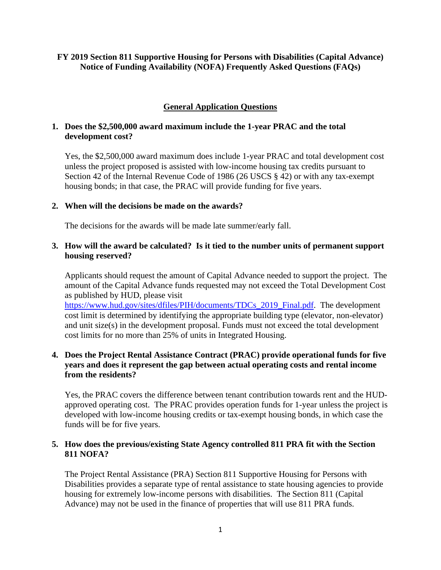### **FY 2019 Section 811 Supportive Housing for Persons with Disabilities (Capital Advance) Notice of Funding Availability (NOFA) Frequently Asked Questions (FAQs)**

# **General Application Questions**

### **1. Does the \$2,500,000 award maximum include the 1-year PRAC and the total development cost?**

Yes, the \$2,500,000 award maximum does include 1-year PRAC and total development cost unless the project proposed is assisted with low-income housing tax credits pursuant to Section 42 of the Internal Revenue Code of 1986 (26 USCS § 42) or with any tax-exempt housing bonds; in that case, the PRAC will provide funding for five years.

### **2. When will the decisions be made on the awards?**

The decisions for the awards will be made late summer/early fall.

### **3. How will the award be calculated? Is it tied to the number units of permanent support housing reserved?**

Applicants should request the amount of Capital Advance needed to support the project. The amount of the Capital Advance funds requested may not exceed the Total Development Cost as published by HUD, please visit

https://www.hud.gov/sites/dfiles/PIH/documents/TDCs\_2019\_Final.pdf. The development cost limit is determined by identifying the appropriate building type (elevator, non-elevator) and unit size(s) in the development proposal. Funds must not exceed the total development cost limits for no more than 25% of units in Integrated Housing.

### **4. Does the Project Rental Assistance Contract (PRAC) provide operational funds for five years and does it represent the gap between actual operating costs and rental income from the residents?**

Yes, the PRAC covers the difference between tenant contribution towards rent and the HUDapproved operating cost. The PRAC provides operation funds for 1-year unless the project is developed with low-income housing credits or tax-exempt housing bonds, in which case the funds will be for five years.

# **5. How does the previous/existing State Agency controlled 811 PRA fit with the Section 811 NOFA?**

The Project Rental Assistance (PRA) Section 811 Supportive Housing for Persons with Disabilities provides a separate type of rental assistance to state housing agencies to provide housing for extremely low-income persons with disabilities. The Section 811 (Capital Advance) may not be used in the finance of properties that will use 811 PRA funds.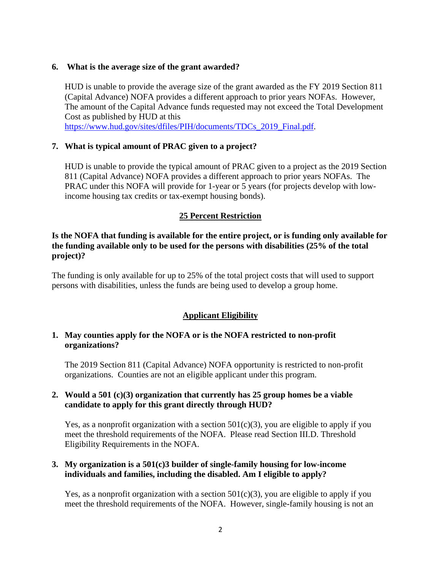#### **6. What is the average size of the grant awarded?**

HUD is unable to provide the average size of the grant awarded as the FY 2019 Section 811 (Capital Advance) NOFA provides a different approach to prior years NOFAs. However, The amount of the Capital Advance funds requested may not exceed the Total Development Cost as published by HUD at this

https://www.hud.gov/sites/dfiles/PIH/documents/TDCs\_2019\_Final.pdf.

#### **7. What is typical amount of PRAC given to a project?**

HUD is unable to provide the typical amount of PRAC given to a project as the 2019 Section 811 (Capital Advance) NOFA provides a different approach to prior years NOFAs. The PRAC under this NOFA will provide for 1-year or 5 years (for projects develop with lowincome housing tax credits or tax-exempt housing bonds).

# **25 Percent Restriction**

**Is the NOFA that funding is available for the entire project, or is funding only available for the funding available only to be used for the persons with disabilities (25% of the total project)?** 

The funding is only available for up to 25% of the total project costs that will used to support persons with disabilities, unless the funds are being used to develop a group home.

# **Applicant Eligibility**

### **1. May counties apply for the NOFA or is the NOFA restricted to non-profit organizations?**

The 2019 Section 811 (Capital Advance) NOFA opportunity is restricted to non-profit organizations. Counties are not an eligible applicant under this program.

### **2. Would a 501 (c)(3) organization that currently has 25 group homes be a viable candidate to apply for this grant directly through HUD?**

Yes, as a nonprofit organization with a section  $501(c)(3)$ , you are eligible to apply if you meet the threshold requirements of the NOFA. Please read Section III.D. Threshold Eligibility Requirements in the NOFA.

### **3. My organization is a 501(c)3 builder of single-family housing for low-income individuals and families, including the disabled. Am I eligible to apply?**

Yes, as a nonprofit organization with a section  $501(c)(3)$ , you are eligible to apply if you meet the threshold requirements of the NOFA. However, single-family housing is not an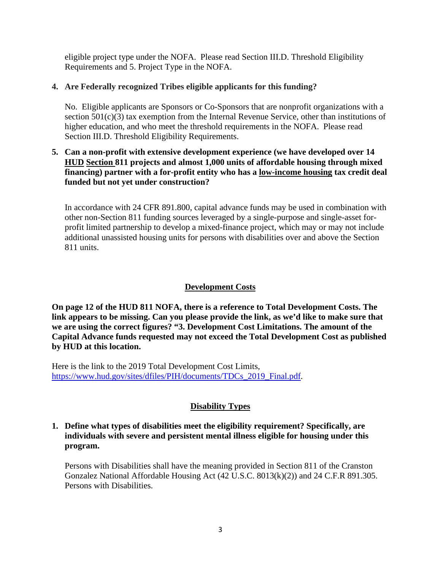eligible project type under the NOFA. Please read Section III.D. Threshold Eligibility Requirements and 5. Project Type in the NOFA.

# **4. Are Federally recognized Tribes eligible applicants for this funding?**

No. Eligible applicants are Sponsors or Co-Sponsors that are nonprofit organizations with a section 501(c)(3) tax exemption from the Internal Revenue Service, other than institutions of higher education, and who meet the threshold requirements in the NOFA. Please read Section III.D. Threshold Eligibility Requirements.

# **5. Can a non-profit with extensive development experience (we have developed over 14 HUD Section 811 projects and almost 1,000 units of affordable housing through mixed financing) partner with a for-profit entity who has a low-income housing tax credit deal funded but not yet under construction?**

In accordance with 24 CFR 891.800, capital advance funds may be used in combination with other non-Section 811 funding sources leveraged by a single-purpose and single-asset forprofit limited partnership to develop a mixed-finance project, which may or may not include additional unassisted housing units for persons with disabilities over and above the Section 811 units.

# **Development Costs**

**On page 12 of the HUD 811 NOFA, there is a reference to Total Development Costs. The link appears to be missing. Can you please provide the link, as we'd like to make sure that we are using the correct figures? "3. Development Cost Limitations. The amount of the Capital Advance funds requested may not exceed the Total Development Cost as published by HUD at this location.** 

Here is the link to the 2019 Total Development Cost Limits, https://www.hud.gov/sites/dfiles/PIH/documents/TDCs\_2019\_Final.pdf.

# **Disability Types**

# **1. Define what types of disabilities meet the eligibility requirement? Specifically, are individuals with severe and persistent mental illness eligible for housing under this program.**

Persons with Disabilities shall have the meaning provided in Section 811 of the Cranston Gonzalez National Affordable Housing Act (42 U.S.C. 8013(k)(2)) and 24 C.F.R 891.305. Persons with Disabilities.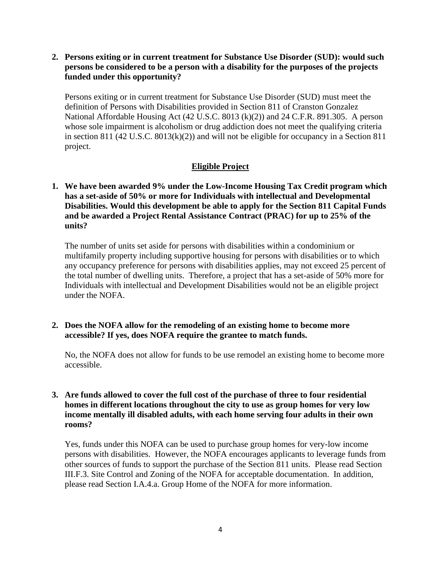**2. Persons exiting or in current treatment for Substance Use Disorder (SUD): would such persons be considered to be a person with a disability for the purposes of the projects funded under this opportunity?** 

Persons exiting or in current treatment for Substance Use Disorder (SUD) must meet the definition of Persons with Disabilities provided in Section 811 of Cranston Gonzalez National Affordable Housing Act (42 U.S.C. 8013 (k)(2)) and 24 C.F.R. 891.305. A person whose sole impairment is alcoholism or drug addiction does not meet the qualifying criteria in section 811 (42 U.S.C. 8013(k)(2)) and will not be eligible for occupancy in a Section 811 project.

# **Eligible Project**

**1. We have been awarded 9% under the Low-Income Housing Tax Credit program which has a set-aside of 50% or more for Individuals with intellectual and Developmental Disabilities. Would this development be able to apply for the Section 811 Capital Funds and be awarded a Project Rental Assistance Contract (PRAC) for up to 25% of the units?** 

The number of units set aside for persons with disabilities within a condominium or multifamily property including supportive housing for persons with disabilities or to which any occupancy preference for persons with disabilities applies, may not exceed 25 percent of the total number of dwelling units. Therefore, a project that has a set-aside of 50% more for Individuals with intellectual and Development Disabilities would not be an eligible project under the NOFA.

### **2. Does the NOFA allow for the remodeling of an existing home to become more accessible? If yes, does NOFA require the grantee to match funds.**

No, the NOFA does not allow for funds to be use remodel an existing home to become more accessible.

### **3. Are funds allowed to cover the full cost of the purchase of three to four residential homes in different locations throughout the city to use as group homes for very low income mentally ill disabled adults, with each home serving four adults in their own rooms?**

Yes, funds under this NOFA can be used to purchase group homes for very-low income persons with disabilities. However, the NOFA encourages applicants to leverage funds from other sources of funds to support the purchase of the Section 811 units. Please read Section III.F.3. Site Control and Zoning of the NOFA for acceptable documentation. In addition, please read Section I.A.4.a. Group Home of the NOFA for more information.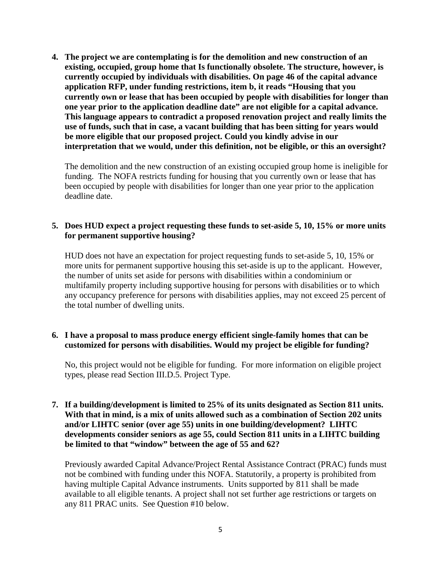**4. The project we are contemplating is for the demolition and new construction of an existing, occupied, group home that Is functionally obsolete. The structure, however, is currently occupied by individuals with disabilities. On page 46 of the capital advance application RFP, under funding restrictions, item b, it reads "Housing that you currently own or lease that has been occupied by people with disabilities for longer than one year prior to the application deadline date" are not eligible for a capital advance. This language appears to contradict a proposed renovation project and really limits the use of funds, such that in case, a vacant building that has been sitting for years would be more eligible that our proposed project. Could you kindly advise in our interpretation that we would, under this definition, not be eligible, or this an oversight?** 

The demolition and the new construction of an existing occupied group home is ineligible for funding. The NOFA restricts funding for housing that you currently own or lease that has been occupied by people with disabilities for longer than one year prior to the application deadline date.

#### **5. Does HUD expect a project requesting these funds to set-aside 5, 10, 15% or more units for permanent supportive housing?**

HUD does not have an expectation for project requesting funds to set-aside 5, 10, 15% or more units for permanent supportive housing this set-aside is up to the applicant. However, the number of units set aside for persons with disabilities within a condominium or multifamily property including supportive housing for persons with disabilities or to which any occupancy preference for persons with disabilities applies, may not exceed 25 percent of the total number of dwelling units.

# **6. I have a proposal to mass produce energy efficient single-family homes that can be customized for persons with disabilities. Would my project be eligible for funding?**

No, this project would not be eligible for funding. For more information on eligible project types, please read Section III.D.5. Project Type.

### **7. If a building/development is limited to 25% of its units designated as Section 811 units. With that in mind, is a mix of units allowed such as a combination of Section 202 units and/or LIHTC senior (over age 55) units in one building/development? LIHTC developments consider seniors as age 55, could Section 811 units in a LIHTC building be limited to that "window" between the age of 55 and 62?**

Previously awarded Capital Advance/Project Rental Assistance Contract (PRAC) funds must not be combined with funding under this NOFA. Statutorily, a property is prohibited from having multiple Capital Advance instruments. Units supported by 811 shall be made available to all eligible tenants. A project shall not set further age restrictions or targets on any 811 PRAC units. See Question #10 below.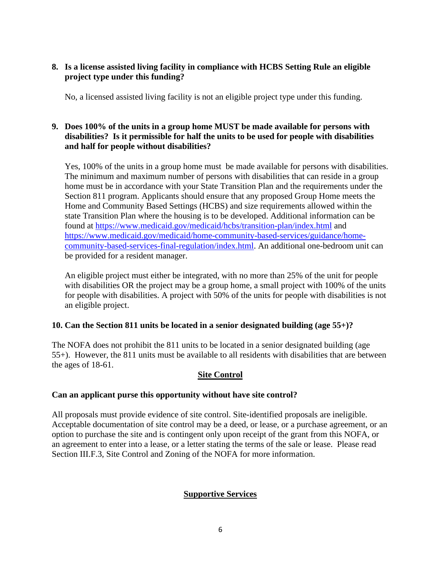# **8. Is a license assisted living facility in compliance with HCBS Setting Rule an eligible project type under this funding?**

No, a licensed assisted living facility is not an eligible project type under this funding.

# **9. Does 100% of the units in a group home MUST be made available for persons with disabilities? Is it permissible for half the units to be used for people with disabilities and half for people without disabilities?**

Yes, 100% of the units in a group home must be made available for persons with disabilities. The minimum and maximum number of persons with disabilities that can reside in a group home must be in accordance with your State Transition Plan and the requirements under the Section 811 program. Applicants should ensure that any proposed Group Home meets the Home and Community Based Settings (HCBS) and size requirements allowed within the state Transition Plan where the housing is to be developed. Additional information can be found at https://www.medicaid.gov/medicaid/hcbs/transition-plan/index.html and https://www.medicaid.gov/medicaid/home-community-based-services/guidance/homecommunity-based-services-final-regulation/index.html. An additional one-bedroom unit can be provided for a resident manager.

An eligible project must either be integrated, with no more than 25% of the unit for people with disabilities OR the project may be a group home, a small project with 100% of the units for people with disabilities. A project with 50% of the units for people with disabilities is not an eligible project.

# **10. Can the Section 811 units be located in a senior designated building (age 55+)?**

The NOFA does not prohibit the 811 units to be located in a senior designated building (age 55+). However, the 811 units must be available to all residents with disabilities that are between the ages of 18-61.

# **Site Control**

# **Can an applicant purse this opportunity without have site control?**

All proposals must provide evidence of site control. Site-identified proposals are ineligible. Acceptable documentation of site control may be a deed, or lease, or a purchase agreement, or an option to purchase the site and is contingent only upon receipt of the grant from this NOFA, or an agreement to enter into a lease, or a letter stating the terms of the sale or lease. Please read Section III.F.3, Site Control and Zoning of the NOFA for more information.

# **Supportive Services**